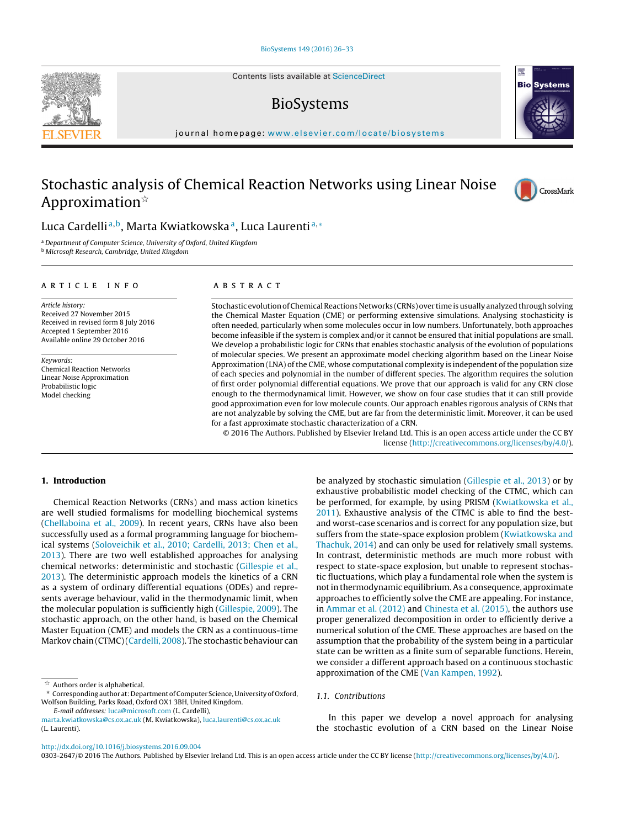Contents lists available at [ScienceDirect](http://www.sciencedirect.com/science/journal/03032647)

## BioSystems

iournal homepage: [www.elsevier.com/locate/biosystems](http://www.elsevier.com/locate/biosystems)

# Stochastic analysis of Chemical Reaction Networks using Linear Noise Approximation $\mathbb{\hat{}}$

## Luca Cardelli<sup>a,b</sup>, Marta Kwiatkowska<sup>a</sup>, Luca Laurenti<sup>a,\*</sup>

<sup>a</sup> Department of Computer Science, University of Oxford, United Kingdom

**b** Microsoft Research, Cambridge, United Kingdom

## a r t i c l e i n f o

Article history: Received 27 November 2015 Received in revised form 8 July 2016 Accepted 1 September 2016 Available online 29 October 2016

Keywords: Chemical Reaction Networks Linear Noise Approximation Probabilistic logic Model checking

## A B S T R A C T

Stochastic evolution of Chemical Reactions Networks (CRNs) over time is usually analyzed through solving the Chemical Master Equation (CME) or performing extensive simulations. Analysing stochasticity is often needed, particularly when some molecules occur in low numbers. Unfortunately, both approaches become infeasible if the system is complex and/or it cannot be ensured that initial populations are small. We develop a probabilistic logic for CRNs that enables stochastic analysis of the evolution of populations of molecular species. We present an approximate model checking algorithm based on the Linear Noise Approximation (LNA) of the CME, whose computational complexity is independent of the population size of each species and polynomial in the number of different species. The algorithm requires the solution of first order polynomial differential equations. We prove that our approach is valid for any CRN close enough to the thermodynamical limit. However, we show on four case studies that it can still provide good approximation even for low molecule counts. Our approach enables rigorous analysis of CRNs that are not analyzable by solving the CME, but are far from the deterministic limit. Moreover, it can be used for a fast approximate stochastic characterization of a CRN.

© 2016 The Authors. Published by Elsevier Ireland Ltd. This is an open access article under the CC BY license [\(http://creativecommons.org/licenses/by/4.0/](http://creativecommons.org/licenses/by/4.0/)).

## **1. Introduction**

Chemical Reaction Networks (CRNs) and mass action kinetics are well studied formalisms for modelling biochemical systems ([Chellaboina](#page-7-0) et [al.,](#page-7-0) [2009\).](#page-7-0) In recent years, CRNs have also been successfully used as a formal programming language for biochemical systems ([Soloveichik](#page-7-0) et [al.,](#page-7-0) [2010;](#page-7-0) [Cardelli,](#page-7-0) [2013;](#page-7-0) [Chen](#page-7-0) et [al.,](#page-7-0) [2013\).](#page-7-0) There are two well established approaches for analysing chemical networks: deterministic and stochastic [\(Gillespie](#page-7-0) et [al.,](#page-7-0) [2013\).](#page-7-0) The deterministic approach models the kinetics of a CRN as a system of ordinary differential equations (ODEs) and represents average behaviour, valid in the thermodynamic limit, when the molecular population is sufficiently high ([Gillespie,](#page-7-0) [2009\).](#page-7-0) The stochastic approach, on the other hand, is based on the Chemical Master Equation (CME) and models the CRN as a continuous-time Markov chain (CTMC)[\(Cardelli,](#page-7-0) [2008\).](#page-7-0) The stochastic behaviour can

E-mail addresses: [luca@microsoft.com](mailto:luca@microsoft.com) (L. Cardelli),

[http://dx.doi.org/10.1016/j.biosystems.2016.09.004](dx.doi.org/10.1016/j.biosystems.2016.09.004)

0303-2647/© 2016 The Authors. Published by Elsevier Ireland Ltd. This is an open access article under the CC BY license [\(http://creativecommons.org/licenses/by/4.0/](http://creativecommons.org/licenses/by/4.0/)).



## 1.1. Contributions

In this paper we develop a novel approach for analysing the stochastic evolution of a CRN based on the Linear Noise







 $\stackrel{\leftrightarrow}{\sim}$  Authors order is alphabetical.

<sup>∗</sup> Corresponding author at: Department of Computer Science, University of Oxford, Wolfson Building, Parks Road, Oxford OX1 3BH, United Kingdom.

[marta.kwiatkowska@cs.ox.ac.uk](mailto:marta.kwiatkowska@cs.ox.ac.uk) (M. Kwiatkowska), [luca.laurenti@cs.ox.ac.uk](mailto:luca.laurenti@cs.ox.ac.uk) (L. Laurenti).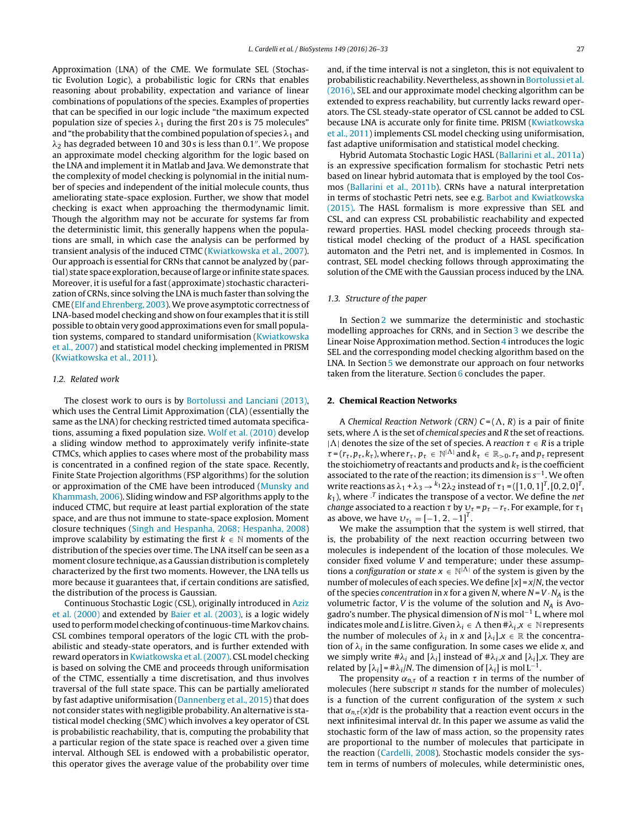Approximation (LNA) of the CME. We formulate SEL (Stochastic Evolution Logic), a probabilistic logic for CRNs that enables reasoning about probability, expectation and variance of linear combinations of populations of the species. Examples of properties that can be specified in our logic include "the maximum expected population size of species  $\lambda_1$  during the first 20s is 75 molecules" and "the probability that the combined population of species  $\lambda_1$  and  $\lambda_2$  has degraded between 10 and 30s is less than 0.1". We propose an approximate model checking algorithm for the logic based on the LNA and implement it in Matlab and Java. We demonstrate that the complexity of model checking is polynomial in the initial number of species and independent of the initial molecule counts, thus ameliorating state-space explosion. Further, we show that model checking is exact when approaching the thermodynamic limit. Though the algorithm may not be accurate for systems far from the deterministic limit, this generally happens when the populations are small, in which case the analysis can be performed by transient analysis of the induced CTMC ([Kwiatkowska](#page-7-0) et [al.,](#page-7-0) [2007\).](#page-7-0) Our approach is essential for CRNs that cannot be analyzed by (partial) state space exploration, because oflarge or infinite state spaces. Moreover, it is useful for a fast (approximate) stochastic characterization of CRNs, since solving the LNA is much faster than solving the CME ([Elf](#page-7-0) [and](#page-7-0) [Ehrenberg,](#page-7-0) [2003\).](#page-7-0)We prove asymptotic correctness of LNA-based model checking and show on four examples that it is still possible to obtain very good approximations even for small population systems, compared to standard uniformisation ([Kwiatkowska](#page-7-0) et [al.,](#page-7-0) [2007\)](#page-7-0) and statistical model checking implemented in PRISM ([Kwiatkowska](#page-7-0) et [al.,](#page-7-0) [2011\).](#page-7-0)

## 1.2. Related work

The closest work to ours is by [Bortolussi](#page-7-0) [and](#page-7-0) [Lanciani](#page-7-0) [\(2013\),](#page-7-0) which uses the Central Limit Approximation (CLA) (essentially the same as the LNA) for checking restricted timed automata specifications, assuming a fixed population size. [Wolf](#page-7-0) et [al.](#page-7-0) [\(2010\)](#page-7-0) develop a sliding window method to approximately verify infinite-state CTMCs, which applies to cases where most of the probability mass is concentrated in a confined region of the state space. Recently, Finite State Projection algorithms (FSP algorithms) for the solution or approximation of the CME have been introduced ([Munsky](#page-7-0) [and](#page-7-0) [Khammash,](#page-7-0) [2006\).](#page-7-0) Sliding window and FSP algorithms apply to the induced CTMC, but require at least partial exploration of the state space, and are thus not immune to state-space explosion. Moment closure techniques ([Singh](#page-7-0) [and](#page-7-0) [Hespanha,](#page-7-0) [2068;](#page-7-0) [Hespanha,](#page-7-0) [2008\)](#page-7-0) improve scalability by estimating the first  $k \in \mathbb{N}$  moments of the distribution of the species over time. The LNA itself can be seen as a moment closure technique, as a Gaussian distribution is completely characterized by the first two moments. However, the LNA tells us more because it guarantees that, if certain conditions are satisfied, the distribution of the process is Gaussian.

Continuous Stochastic Logic (CSL), originally introduced in [Aziz](#page-7-0) et [al.](#page-7-0) [\(2000\)](#page-7-0) and extended by [Baier](#page-7-0) et [al.](#page-7-0) [\(2003\),](#page-7-0) is a logic widely used to perform model checking of continuous-time Markov chains. CSL combines temporal operators of the logic CTL with the probabilistic and steady-state operators, and is further extended with reward operators in [Kwiatkowska](#page-7-0) et [al.\(2007\).](#page-7-0) CSL model checking is based on solving the CME and proceeds through uniformisation of the CTMC, essentially a time discretisation, and thus involves traversal of the full state space. This can be partially ameliorated by fast adaptive uniformisation ([Dannenberg](#page-7-0) et [al.,](#page-7-0) [2015\)](#page-7-0) that does not consider states with negligible probability.An alternative is statistical model checking (SMC) which involves a key operator of CSL is probabilistic reachability, that is, computing the probability that a particular region of the state space is reached over a given time interval. Although SEL is endowed with a probabilistic operator, this operator gives the average value of the probability over time

and, if the time interval is not a singleton, this is not equivalent to probabilistic reachability. Nevertheless, as shown in [Bortolussi](#page-7-0) et [al.](#page-7-0) [\(2016\),](#page-7-0) SEL and our approximate model checking algorithm can be extended to express reachability, but currently lacks reward operators. The CSL steady-state operator of CSL cannot be added to CSL because LNA is accurate only for finite time. PRISM [\(Kwiatkowska](#page-7-0) et [al.,](#page-7-0) [2011\)](#page-7-0) implements CSL model checking using uniformisation, fast adaptive uniformisation and statistical model checking.

Hybrid Automata Stochastic Logic HASL ([Ballarini](#page-7-0) et [al.,](#page-7-0) [2011a\)](#page-7-0) is an expressive specification formalism for stochastic Petri nets based on linear hybrid automata that is employed by the tool Cosmos ([Ballarini](#page-7-0) et [al.,](#page-7-0) [2011b\).](#page-7-0) CRNs have a natural interpretation in terms of stochastic Petri nets, see e.g. [Barbot](#page-7-0) [and](#page-7-0) [Kwiatkowska](#page-7-0) [\(2015\).](#page-7-0) The HASL formalism is more expressive than SEL and CSL, and can express CSL probabilistic reachability and expected reward properties. HASL model checking proceeds through statistical model checking of the product of a HASL specification automaton and the Petri net, and is implemented in Cosmos. In contrast, SEL model checking follows through approximating the solution of the CME with the Gaussian process induced by the LNA.

#### 1.3. Structure of the paper

In Section 2 we summarize the deterministic and stochastic modelling approaches for CRNs, and in Section [3](#page-2-0) we describe the Linear Noise Approximation method. Section [4](#page-4-0) introduces the logic SEL and the corresponding model checking algorithm based on the LNA. In Section [5](#page-5-0) we demonstrate our approach on four networks taken from the literature. Section [6](#page-6-0) concludes the paper.

## **2. Chemical Reaction Networks**

A Chemical Reaction Network (CRN)  $C = (\Lambda, R)$  is a pair of finite sets, where  $\Lambda$  is the set of *chemical species* and R the set of reactions. | $\Lambda$ | denotes the size of the set of species. A reaction  $\tau \in R$  is a triple  $\tau$  = ( $r_{\tau}$ ,  $p_{\tau}$ ,  $k_{\tau}$ ), where  $r_{\tau}$ ,  $p_{\tau} \in \mathbb{N}^{|\Lambda|}$  and  $k_{\tau} \in \mathbb{R}_{>0}$ .  $r_{\tau}$  and  $p_{\tau}$  represent the stoichiometry of reactants and products and  $k<sub>\tau</sub>$  is the coefficient associated to the rate of the reaction; its dimension is  $s^{-1}$ . We often write reactions as  $\lambda_1 + \lambda_3 \rightarrow k_1 2\lambda_2$  instead of  $\tau_1 = ([1, 0, 1]^T, [0, 2, 0]^T,$  $k_1$ ), where  $\cdot^T$  indicates the transpose of a vector. We define the net *change* associated to a reaction  $\tau$  by  $v_\tau = p_\tau - r_\tau$ . For example, for  $\tau_1$ as above, we have  $v_{\tau_1} = [-1, 2, -1]^T$ .

We make the assumption that the system is well stirred, that is, the probability of the next reaction occurring between two molecules is independent of the location of those molecules. We consider fixed volume V and temperature; under these assumptions a configuration or state  $x \in \mathbb{N}^{|\Lambda|}$  of the system is given by the number of molecules of each species. We define  $[x] = x/N$ , the vector of the species concentration in x for a given N, where  $N = V \cdot N_A$  is the volumetric factor, *V* is the volume of the solution and  $N_A$  is Avogadro's number. The physical dimension of N is mol−<sup>1</sup> L, where mol indicates mole and L is litre. Given  $\lambda_i \in \Lambda$  then  $\#\lambda_i x \in \mathbb{N}$  represents the number of molecules of  $\lambda_i$  in x and  $[\lambda_i]x \in \mathbb{R}$  the concentration of  $\lambda_i$  in the same configuration. In some cases we elide x, and we simply write  $\#\lambda_i$  and  $[\lambda_i]$  instead of  $\#\lambda_i \times$  and  $[\lambda_i] \times$ . They are related by  $[\lambda_i] = #\lambda_i/N$ . The dimension of  $[\lambda_i]$  is mol L<sup>-1</sup>.

The propensity  $\alpha_{n,\tau}$  of a reaction  $\tau$  in terms of the number of molecules (here subscript *n* stands for the number of molecules) is a function of the current configuration of the system  $x$  such that  $\alpha_{n,\tau}(x)$ dt is the probability that a reaction event occurs in the next infinitesimal interval dt. In this paper we assume as valid the stochastic form of the law of mass action, so the propensity rates are proportional to the number of molecules that participate in the reaction ([Cardelli,](#page-7-0) [2008\).](#page-7-0) Stochastic models consider the system in terms of numbers of molecules, while deterministic ones,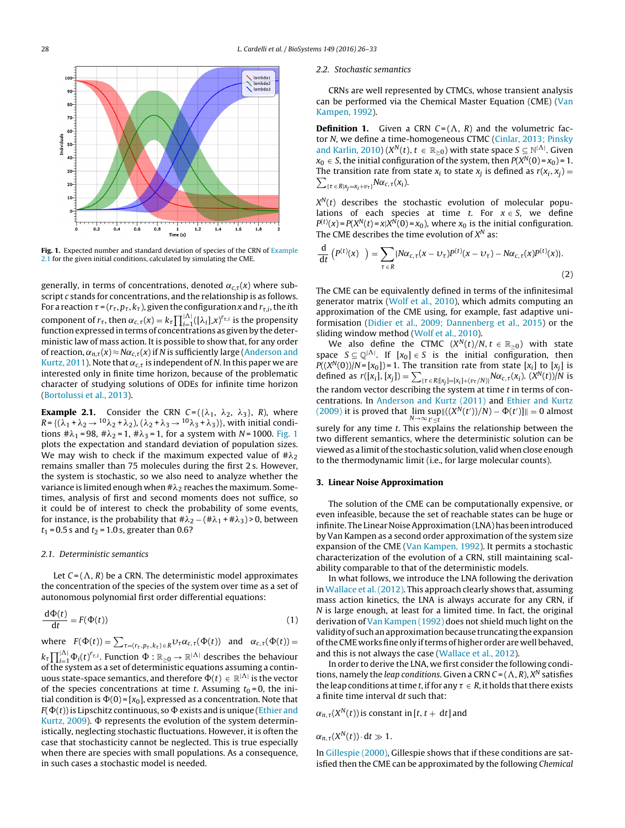<span id="page-2-0"></span>

**Fig. 1.** Expected number and standard deviation of species of the CRN of Example 2.1 for the given initial conditions, calculated by simulating the CME.

generally, in terms of concentrations, denoted  $\alpha_{c,\tau}(x)$  where subscript c stands for concentrations, and the relationship is as follows. For a reaction  $\tau$  = ( $r_{\tau}$ ,  $p_{\tau}$ ,  $k_{\tau}$ ), given the configuration x and  $r_{\tau,i}$ , the *i*th component of  $r_{\tau}$ , then  $\alpha_{c,\tau}(x) = k_{\tau} \prod_{i=1}^{|\Lambda|} ([\lambda_i] x)^{r_{\tau,i}}$  is the propensity function expressed in terms of concentrations as given by the deterministic law of mass action. It is possible to show that, for any order of reaction,  $\alpha_{n,\tau}(x) \approx N\alpha_{c,\tau}(x)$  if N is sufficiently large ([Anderson](#page-7-0) [and](#page-7-0) [Kurtz,](#page-7-0) [2011\).](#page-7-0) Note that  $\alpha_{c,\tau}$  is independent of N. In this paper we are interested only in finite time horizon, because of the problematic character of studying solutions of ODEs for infinite time horizon ([Bortolussi](#page-7-0) et [al.,](#page-7-0) [2013\).](#page-7-0)

**Example 2.1.** Consider the CRN  $C = (\{\lambda_1, \lambda_2, \lambda_3\}, R)$ , where  $R$  = {( $\lambda_1$  +  $\lambda_2$   $\rightarrow$   $^{10}\lambda_2$  +  $\lambda_2$ ), ( $\lambda_2$  +  $\lambda_3$   $\rightarrow$   $^{10}\lambda_3$  +  $\lambda_3$ )}, with initial conditions  $\#\lambda_1 = 98$ ,  $\#\lambda_2 = 1$ ,  $\#\lambda_3 = 1$ , for a system with N = 1000. Fig. 1 plots the expectation and standard deviation of population sizes. We may wish to check if the maximum expected value of  $\#\lambda_2$ remains smaller than 75 molecules during the first 2 s. However, the system is stochastic, so we also need to analyze whether the variance is limited enough when # $\lambda_2$  reaches the maximum. Sometimes, analysis of first and second moments does not suffice, so it could be of interest to check the probability of some events, for instance, is the probability that  $\#\lambda_2-(\#\lambda_1+\#\lambda_3)$ >0, between  $t_1 = 0.5$  s and  $t_2 = 1.0$  s, greater than 0.6?

#### 2.1. Deterministic semantics

Let  $C = (\Lambda, R)$  be a CRN. The deterministic model approximates the concentration of the species of the system over time as a set of autonomous polynomial first order differential equations:

$$
\frac{\mathrm{d}\Phi(t)}{\mathrm{d}t} = F(\Phi(t))\tag{1}
$$

where  $F(\Phi(t)) = \sum_{\tau = (r_{\tau}, p_{\tau}, k_{\tau}) \in R} \nu_{\tau} \alpha_{c,\tau}(\Phi(t))$  and  $\alpha_{c,\tau}(\Phi(t)) =$  $k_\tau \prod_{i=1}^{|\Lambda|} \Phi_i(t)^{r_{\tau,i}}.$  Function  $\Phi:\R_{\geq 0} \to \R^{|\Lambda|}$  describes the behaviour ofthe system as a set of deterministic equations assuming a continuous state-space semantics, and therefore  $\Phi(t) \in \mathbb{R}^{|\Lambda|}$  is the vector of the species concentrations at time t. Assuming  $t_0 = 0$ , the initial condition is  $\Phi(0) = [x_0]$ , expressed as a concentration. Note that  $F(\Phi(t))$  is Lipschitz continuous, so  $\Phi$  exists and is unique ([Ethier](#page-7-0) [and](#page-7-0) [Kurtz,](#page-7-0)  $2009$ ).  $\Phi$  represents the evolution of the system deterministically, neglecting stochastic fluctuations. However, it is often the case that stochasticity cannot be neglected. This is true especially when there are species with small populations. As a consequence, in such cases a stochastic model is needed.

#### 2.2. Stochastic semantics

CRNs are well represented by CTMCs, whose transient analysis can be performed via the Chemical Master Equation (CME) [\(Van](#page-7-0) [Kampen,](#page-7-0) [1992\).](#page-7-0)

**Definition 1.** Given a CRN  $C = (\Lambda, R)$  and the volumetric fac-tor N, we define a time-homogeneous CTMC ([Cinlar,](#page-7-0) [2013;](#page-7-0) [Pinsky](#page-7-0) [and](#page-7-0) [Karlin,](#page-7-0) [2010\)](#page-7-0) ( $X^N(t)$ ,  $t \in \mathbb{R}_{\geq 0}$ ) with state space  $S \subseteq \mathbb{N}^{|\Lambda|}$ . Given  $x_0 \in S$ , the initial configuration of the system, then  $P(X^N(0) = x_0) = 1$ . The transition rate from state  $x_i$  to state  $x_j$  is defined as  $r(x_i, x_j) =$  $\sum_{\{\tau \in R | x_j = x_i + v_{\tau}\}} N \alpha_{c,\tau}(x_i).$ 

 $X^N(t)$  describes the stochastic evolution of molecular populations of each species at time t. For  $x \in S$ , we define  $P^{(t)}(x) = P(X^N(t) = x | X^N(0) = x_0)$ , where  $x_0$  is the initial configuration. The CME describes the time evolution of  $X^N$  as:

$$
\frac{\mathrm{d}}{\mathrm{d}t}\left(P^{(t)}(x)\right) = \sum_{\tau \in R} \{N\alpha_{c,\tau}(x - \upsilon_{\tau})P^{(t)}(x - \upsilon_{\tau}) - N\alpha_{c,\tau}(x)P^{(t)}(x)\}.\tag{2}
$$

The CME can be equivalently defined in terms of the infinitesimal generator matrix ([Wolf](#page-7-0) et [al.,](#page-7-0) [2010\),](#page-7-0) which admits computing an approximation of the CME using, for example, fast adaptive uniformisation [\(Didier](#page-7-0) et [al.,](#page-7-0) [2009;](#page-7-0) [Dannenberg](#page-7-0) et [al.,](#page-7-0) [2015\)](#page-7-0) or the sliding window method [\(Wolf](#page-7-0) et [al.,](#page-7-0) [2010\).](#page-7-0)

We also define the CTMC  $(X^N(t)/N, t \in \mathbb{R}_{\geq 0})$  with state space  $S \subseteq \mathbb{Q}^{|\Lambda|}$ . If  $[x_0] \in S$  is the initial configuration, then  $P((X^N(0))/N = [x_0]) = 1$ . The transition rate from state  $[x_i]$  to  $[x_j]$  is defined as  $r([x_i], [x_j]) = \sum_{\{\tau \in R | [x_j] = [x_i] + (\nu_\tau/N)\}} N \alpha_{c,\tau}(x_i)$ .  $(X^N(t))/N$  is the random vector describing the system at time  $t$  in terms of concentrations. In [Anderson](#page-7-0) [and](#page-7-0) [Kurtz](#page-7-0) [\(2011\)](#page-7-0) and [Ethier](#page-7-0) [and](#page-7-0) [Kurtz](#page-7-0) [\(2009\)](#page-7-0) it is proved that  $\limsup ||((X^N(t'))/N) - \Phi(t')|| = 0$  almost  $N \rightarrow \infty$ <sub>t'≤t</sub> surely for any time t. This explains the relationship between the two different semantics, where the deterministic solution can be viewed as a limit ofthe stochastic solution, valid when close enough to the thermodynamic limit (i.e., for large molecular counts).

#### **3. Linear Noise Approximation**

The solution of the CME can be computationally expensive, or even infeasible, because the set of reachable states can be huge or infinite. The Linear Noise Approximation (LNA) has been introduced by Van Kampen as a second order approximation of the system size expansion of the CME ([Van](#page-7-0) [Kampen,](#page-7-0) [1992\).](#page-7-0) It permits a stochastic characterization of the evolution of a CRN, still maintaining scalability comparable to that of the deterministic models.

In what follows, we introduce the LNA following the derivation in [Wallace](#page-7-0) et al. (2012). This approach clearly shows that, assuming mass action kinetics, the LNA is always accurate for any CRN, if N is large enough, at least for a limited time. In fact, the original derivation of [Van](#page-7-0) [Kampen](#page-7-0) [\(1992\)](#page-7-0) does not shield much light on the validity of suchanapproximationbecause truncating the expansion of the CME works fine only if terms of higher order are well behaved, and this is not always the case ([Wallace](#page-7-0) et [al.,](#page-7-0) [2012\).](#page-7-0)

In order to derive the LNA, we first consider the following conditions, namely the leap conditions. Given a CRN  $C = (\Lambda, R)$ ,  $X^N$  satisfies the leap conditions at time t, if for any  $\tau \in R$ , it holds that there exists a finite time interval dt such that:

 $\alpha_{n,\tau}(X^N(t))$  is constant in [t, t + dt] and

 $\alpha_{n,\tau}(X^N(t)) \cdot dt \gg 1.$ 

In [Gillespie](#page-7-0) [\(2000\),](#page-7-0) Gillespie shows that if these conditions are satisfied then the CME can be approximated by the following Chemical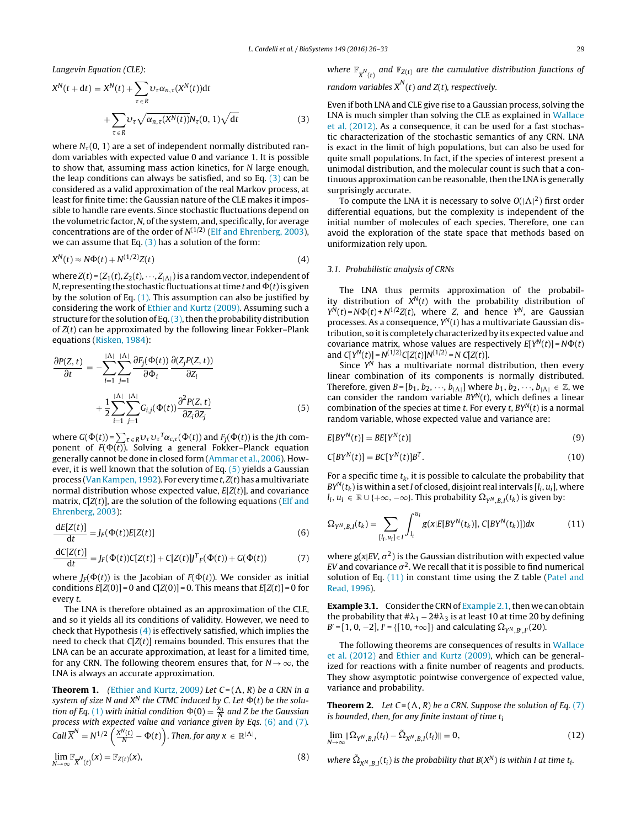<span id="page-3-0"></span>Langevin Equation (CLE):

$$
X^{N}(t + dt) = X^{N}(t) + \sum_{\tau \in R} \upsilon_{\tau} \alpha_{n,\tau}(X^{N}(t))dt
$$

$$
+ \sum_{\tau \in R} \upsilon_{\tau} \sqrt{\alpha_{n,\tau}(X^{N}(t))} N_{\tau}(0, 1) \sqrt{dt}
$$
(3)

where  $N_{\tau}(0, 1)$  are a set of independent normally distributed random variables with expected value 0 and variance 1. It is possible to show that, assuming mass action kinetics, for N large enough, the leap conditions can always be satisfied, and so Eq. (3) can be considered as a valid approximation of the real Markov process, at least for finite time: the Gaussian nature of the CLE makes it impossible to handle rare events. Since stochastic fluctuations depend on the volumetric factor, N, of the system, and, specifically, for average concentrations are of the order of  $N^{(1/2)}$  [\(Elf](#page-7-0) [and](#page-7-0) [Ehrenberg,](#page-7-0) [2003\),](#page-7-0) we can assume that Eq.  $(3)$  has a solution of the form:

$$
X^N(t) \approx N\Phi(t) + N^{(1/2)}Z(t) \tag{4}
$$

where  $Z(t) = (Z_1(t), Z_2(t), \dots, Z_{|\Lambda|})$  is a random vector, independent of N, representing the stochastic fluctuations at time t and  $\Phi(t)$  is given by the solution of Eq. [\(1\).](#page-2-0) This assumption can also be justified by considering the work of [Ethier](#page-7-0) [and](#page-7-0) [Kurtz](#page-7-0) [\(2009\).](#page-7-0) Assuming such a structure for the solution of Eq.  $(3)$ , then the probability distribution of  $Z(t)$  can be approximated by the following linear Fokker–Plank equations [\(Risken,](#page-7-0) [1984\):](#page-7-0)

$$
\frac{\partial P(Z,t)}{\partial t} = -\sum_{i=1}^{|\Lambda|} \sum_{j=1}^{|\Lambda|} \frac{\partial F_j(\Phi(t))}{\partial \Phi_i} \frac{\partial (Z_j P(Z,t))}{\partial Z_i} + \frac{1}{2} \sum_{i=1}^{|\Lambda|} \sum_{j=1}^{|\Lambda|} G_{i,j}(\Phi(t)) \frac{\partial^2 P(Z,t)}{\partial Z_i \partial Z_j}
$$
(5)

where  $G(\Phi(t))$ =  $\sum_{\tau \in R}$ U $_{\tau}$ U $_{\tau}$ <sup>T</sup> $\alpha_{c,\tau}(\Phi(t))$  and  $F_j(\Phi(t))$  is the jth component of  $F(\Phi(t))$ . Solving a general Fokker–Planck equation generally cannot be done in closed form [\(Ammar](#page-7-0) et [al.,](#page-7-0) [2006\).](#page-7-0) However, it is well known that the solution of Eq. (5) yields a Gaussian process (Van Kampen, 1992). For every time  $t$ ,  $Z(t)$  has a multivariate normal distribution whose expected value,  $E[Z(t)]$ , and covariance matrix,  $C[Z(t)]$ , are the solution of the following equations ([Elf](#page-7-0) [and](#page-7-0) [Ehrenberg,](#page-7-0) [2003\):](#page-7-0)

$$
\frac{\mathrm{d}E[Z(t)]}{\mathrm{d}t} = J_F(\Phi(t))E[Z(t)]\tag{6}
$$

$$
\frac{dC[Z(t)]}{dt} = J_F(\Phi(t))C[Z(t)] + C[Z(t)]J^T{}_F(\Phi(t)) + G(\Phi(t))
$$
\n(7)

where  $J_F(\Phi(t))$  is the Jacobian of  $F(\Phi(t))$ . We consider as initial conditions  $E[Z(0)] = 0$  and  $C[Z(0)] = 0$ . This means that  $E[Z(t)] = 0$  for every t.

The LNA is therefore obtained as an approximation of the CLE, and so it yields all its conditions of validity. However, we need to check that Hypothesis  $(4)$  is effectively satisfied, which implies the need to check that  $C[Z(t)]$  remains bounded. This ensures that the LNA can be an accurate approximation, at least for a limited time, for any CRN. The following theorem ensures that, for  $N \rightarrow \infty$ , the LNA is always an accurate approximation.

**Theorem 1.** ([Ethier](#page-7-0) [and](#page-7-0) [Kurtz,](#page-7-0) [2009](#page-7-0)) Let  $C = (\Lambda, R)$  be a CRN in a system of size N and  $X^N$  the CTMC induced by C. Let  $\Phi(t)$  be the solu-tion of Eq. [\(1\)](#page-2-0) with initial condition  $\Phi(0) = \frac{x_0}{N}$  and Z be the Gaussian process with expected value and variance given by Eqs. (6) and (7). Call  $\overline{X}^N = N^{1/2} \left( \frac{X^N(t)}{N} - \Phi(t) \right)$ . Then, for any  $x \in \mathbb{R}^{|\Lambda|}$ ,

$$
\lim_{N \to \infty} \mathbb{F}_{\overline{X}^N(t)}(x) = \mathbb{F}_{Z(t)}(x),\tag{8}
$$

where  $\mathbb{F}_{\overline{X}^{N}(t)}$  and  $\mathbb{F}_{Z(t)}$  are the cumulative distribution functions of random variables  $\overline{X}^N(t)$  and Z(t), respectively.

## Even if both LNA and CLE give rise to a Gaussian process, solving the LNA is much simpler than solving the CLE as explained in [Wallace](#page-7-0) et [al.](#page-7-0) [\(2012\).](#page-7-0) As a consequence, it can be used for a fast stochastic characterization of the stochastic semantics of any CRN. LNA is exact in the limit of high populations, but can also be used for quite small populations. In fact, if the species of interest present a unimodal distribution, and the molecular count is such that a continuous approximation can be reasonable, then the LNA is generally surprisingly accurate.

To compute the LNA it is necessary to solve  $O(|\Lambda|^2)$  first order differential equations, but the complexity is independent of the initial number of molecules of each species. Therefore, one can avoid the exploration of the state space that methods based on uniformization rely upon.

#### 3.1. Probabilistic analysis of CRNs

The LNA thus permits approximation of the probability distribution of  $X^N(t)$  with the probability distribution of  $Y^N(t) = N\Phi(t) + N^{1/2}Z(t)$ , where Z, and hence  $Y^N$ , are Gaussian processes. As a consequence,  $Y^N(t)$  has a multivariate Gaussian distribution, so itis completely characterized by its expected value and covariance matrix, whose values are respectively  $E[Y^N(t)] = N\Phi(t)$ and  $C[Y^N(t)] = N^{(1/2)}C[Z(t)]N^{(1/2)} = N C[Z(t)].$ 

Since  $Y^N$  has a multivariate normal distribution, then every linear combination of its components is normally distributed. Therefore, given  $B = [b_1, b_2, \dots, b_{|\Lambda|}]$  where  $b_1, b_2, \dots, b_{|\Lambda|} \in \mathbb{Z}$ , we can consider the random variable  $BY^N(t)$ , which defines a linear combination of the species at time t. For every t,  $BY^N(t)$  is a normal random variable, whose expected value and variance are:

$$
E[BY^N(t)] = BE[Y^N(t)]
$$
\n(9)

$$
C[BY^N(t)] = BC[Y^N(t)]B^T.
$$
\n(10)

For a specific time  $t_k$ , it is possible to calculate the probability that  $BY^{N}(t_{k})$  is within a set I of closed, disjoint real intervals [ $l_{i}$ ,  $u_{i}$ ], where  $l_i, u_i \in \mathbb{R} \cup \{+\infty, -\infty\}$ . This probability  $\Omega_{\gamma N/R}$   $_I(t_k)$  is given by:

$$
\Omega_{Y^N,B,I}(t_k) = \sum_{[l_i, u_i] \in I} \int_{l_i}^{u_i} g(x) E[BY^N(t_k)], C[BY^N(t_k)]) dx
$$
\n(11)

where  $g(x|EV, \sigma^2)$  is the Gaussian distribution with expected value EV and covariance  $\sigma^2$ . We recall that it is possible to find numerical solution of Eq. (11) in constant time using the Z table ([Patel](#page-7-0) [and](#page-7-0) [Read,](#page-7-0) [1996\).](#page-7-0)

**[Example](#page-2-0) 3.1.** Consider the CRN of Example 2.1, then we can obtain the probability that  $\#\lambda_1 - 2\#\lambda_3$  is at least 10 at time 20 by defining  $B' = [1, 0, -2], I' = \{ [10, +\infty] \}$  and calculating  $\Omega_{Y^N, B', I'}(20)$ .

The following theorems are consequences of results in [Wallace](#page-7-0) et [al.](#page-7-0) [\(2012\)](#page-7-0) and [Ethier](#page-7-0) [and](#page-7-0) [Kurtz](#page-7-0) [\(2009\),](#page-7-0) which can be generalized for reactions with a finite number of reagents and products. They show asymptotic pointwise convergence of expected value, variance and probability.

**Theorem 2.** Let  $C = (\Lambda, R)$  be a CRN. Suppose the solution of Eq. (7) is bounded, then, for any finite instant of time  $t_i$ 

$$
\lim_{N\to\infty} \|\Omega_{Y^N,B,I}(t_i) - \tilde{\Omega}_{X^N,B,I}(t_i)\| = 0,
$$
\n(12)

where  $\tilde{\Omega}_{X^N,B,I}(t_i)$  is the probability that  $B(X^N)$  is within I at time  $t_i$ .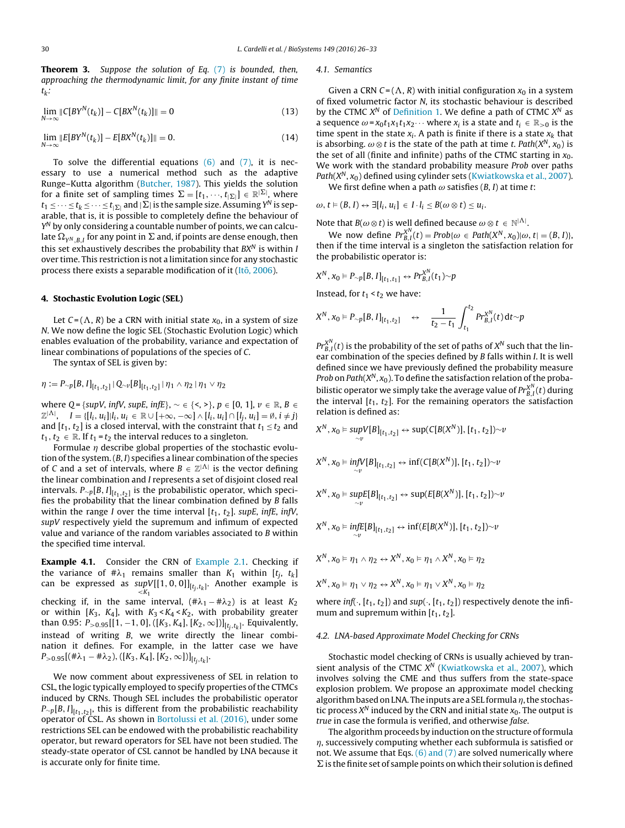<span id="page-4-0"></span>**Theorem 3.** Suppose the solution of Eq. [\(7\)](#page-3-0) is bounded, then, approaching the thermodynamic limit, for any finite instant of time  $t_k$ :

$$
\lim_{N \to \infty} \|C[BY^{N}(t_{k})] - C[BX^{N}(t_{k})] \| = 0
$$
\n(13)

$$
\lim_{N \to \infty} ||E[BY^{N}(t_{k})] - E[BX^{N}(t_{k})]|| = 0.
$$
\n(14)

To solve the differential equations  $(6)$  and  $(7)$ , it is necessary to use a numerical method such as the adaptive Runge–Kutta algorithm ([Butcher,](#page-7-0) [1987\).](#page-7-0) This yields the solution for a finite set of sampling times  $\Sigma = [t_1, \cdots, t_{|\Sigma|}] \in \mathbb{R}^{|\Sigma|}$ , where  $t_1\leq \cdots\leq t_k\leq \cdots\leq t_{|\Sigma|}$  and  $|\Sigma|$  is the sample size. Assuming  $Y^{\mathsf{N}}$  is separable, that is, it is possible to completely define the behaviour of  $Y^N$  by only considering a countable number of points, we can calculate  $\Omega_{\gamma^N, B, I}$  for any point in  $\Sigma$  and, if points are dense enough, then this set exhaustively describes the probability that  $BX^N$  is within I over time. This restriction is not a limitation since for any stochastic process there exists a separable modification of it ( $It\bar{o}$ , [2006\).](#page-7-0)

#### **4. Stochastic Evolution Logic (SEL)**

Let  $C = (\Lambda, R)$  be a CRN with initial state  $x_0$ , in a system of size N. We now define the logic SEL (Stochastic Evolution Logic) which enables evaluation of the probability, variance and expectation of linear combinations of populations of the species of C.

The syntax of SEL is given by:

$$
\eta := P_{\sim p}[B, I]_{[t_1, t_2]} | Q_{\sim v}[B]_{[t_1, t_2]} | \eta_1 \wedge \eta_2 | \eta_1 \vee \eta_2
$$

where Q = {supV, infV, supE, infE},  $\sim \in \{ \leq, \geq \}$ , p  $\in [0, 1]$ ,  $\nu \in \mathbb{R}$ , B  $\in$  $\mathbb{Z}^{|\Lambda|}, \quad I = \{[l_i, u_i]|l_i, u_i \in \mathbb{R} \cup [+\infty, -\infty] \wedge [l_i, u_i] \cap [l_j, u_i] = \emptyset, i \neq j\}$ and  $[t_1, t_2]$  is a closed interval, with the constraint that  $t_1 \le t_2$  and  $t_1, t_2 \in \mathbb{R}$ . If  $t_1 = t_2$  the interval reduces to a singleton.

Formulae  $\eta$  describe global properties of the stochastic evolution of the system.  $(B, I)$  specifies a linear combination of the species of C and a set of intervals, where  $B \in \mathbb{Z}^{|\Lambda|}$  is the vector defining the linear combination and I represents a set of disjoint closed real intervals.  $P_{\sim p}[B, I]_{[t_1,t_2]}$  is the probabilistic operator, which specifies the probability that the linear combination defined by B falls within the range I over the time interval  $[t_1, t_2]$ . supE, infE, infV, supV respectively yield the supremum and infimum of expected value and variance of the random variables associated to B within the specified time interval.

**Example 4.1.** Consider the CRN of [Example](#page-2-0) [2.1.](#page-2-0) Checking if the variance of # $\lambda_1$  remains smaller than  $K_1$  within  $[t_j,\;t_k]$ can be expressed as  $supV[[1,0,0]]_{[t_{j},t_{k}]}$ . Another example is  $<$ K<sub>1</sub> checking if, in the same interval,  $(\#\lambda_1 - \#\lambda_2)$  is at least  $K_2$ or within  $[K_3, K_4]$ , with  $K_3 < K_4 < K_2$ , with probability greater than 0.95:  $P_{>0.95}$ [[1, -1, 0], ([K<sub>3</sub>, K<sub>4</sub>], [K<sub>2</sub>, ∞])]<sub>[t<sub>i,tk]</sub>. Equivalently,</sub> instead of writing B, we write directly the linear combination it defines. For example, in the latter case we have  $P_{>0.95}[(\#\lambda_1 - \#\lambda_2), ([K_3, K_4], [K_2, \infty])]_{[t_j, t_k]}.$ 

We now comment about expressiveness of SEL in relation to CSL, the logic typically employed to specify properties of the CTMCs induced by CRNs. Though SEL includes the probabilistic operator  $P_{\sim p}[B, I]_{[t_1,t_2]}$ , this is different from the probabilistic reachability operator of CSL. As shown in [Bortolussi](#page-7-0) et [al.](#page-7-0) [\(2016\),](#page-7-0) under some restrictions SEL can be endowed with the probabilistic reachability operator, but reward operators for SEL have not been studied. The steady-state operator of CSL cannot be handled by LNA because it is accurate only for finite time.

#### 4.1. Semantics

Given a CRN  $C = (\Lambda, R)$  with initial configuration  $x_0$  in a system of fixed volumetric factor N, its stochastic behaviour is described by the CTMC  $X^N$  of [Definition](#page-2-0) [1.](#page-2-0) We define a path of CTMC  $X^N$  as a sequence  $\omega = x_0 t_1 x_1 t_1 x_2 \cdots$  where  $x_i$  is a state and  $t_i \in \mathbb{R}_{>0}$  is the time spent in the state  $x_i$ . A path is finite if there is a state  $x_k$  that is absorbing.  $\omega \otimes t$  is the state of the path at time t. Path( $X^N$ ,  $x_0$ ) is the set of all (finite and infinite) paths of the CTMC starting in  $x_0$ . We work with the standard probability measure Prob over paths Path( $X^N$ ,  $x_0$ ) defined using cylinder sets ([Kwiatkowska](#page-7-0) et [al.,](#page-7-0) [2007\).](#page-7-0)

We first define when a path  $\omega$  satisfies (B, I) at time t:

 $\omega, t \models (B, I) \leftrightarrow \exists [l_i, u_i] \in I \cdot l_i \leq B(\omega \otimes t) \leq u_i.$ 

Note that  $B(\omega \otimes t)$  is well defined because  $\omega \otimes t \in \mathbb{N}^{|\Lambda|}$ .

We now define  $Pr_{B,I}^{X^N}(t) = Prob\{\omega \in Path(X^N, x_0)|\omega, t| = (B, I)\},$ then if the time interval is a singleton the satisfaction relation for the probabilistic operator is:

$$
X^N, x_0 \vDash P_{\sim p}[B, I]_{[t_1, t_1]} \leftrightarrow Pr_{B, I}^{X^N}(t_1) \sim p
$$

Instead, for  $t_1 < t_2$  we have:

$$
X^N, x_0 \vDash P_{\sim p}[B, I]_{[t_1, t_2]} \quad \leftrightarrow \quad \frac{1}{t_2 - t_1} \int_{t_1}^{t_2} Pr_{B, I}^{X^N}(t) dt \sim p
$$

 $\mathit{Pr}_{B,I}^{X^N}(t)$  is the probability of the set of paths of  $X^N$  such that the linear combination of the species defined by B falls within I. It is well defined since we have previously defined the probability measure Prob on Path $(X^N, x_0)$ . To define the satisfaction relation of the probabilistic operator we simply take the average value of  $\mathit{Pr}^{X^N}_{B,I}(t)$  during the interval  $[t_1, t_2]$ . For the remaining operators the satisfaction relation is defined as:

$$
X^N, x_0 \vDash \sup_{\sim \nu} V[B]_{[t_1, t_2]} \leftrightarrow \sup(C[B(X^N)], [t_1, t_2]) \sim \nu
$$
  
\n
$$
X^N, x_0 \vDash \inf_{\sim \nu} V[B]_{[t_1, t_2]} \leftrightarrow \inf(C[B(X^N)], [t_1, t_2]) \sim \nu
$$
  
\n
$$
X^N, x_0 \vDash \sup_{\sim \nu} E[B]_{[t_1, t_2]} \leftrightarrow \sup(E[B(X^N)], [t_1, t_2]) \sim \nu
$$
  
\n
$$
X^N, x_0 \vDash \inf_{\sim \nu} E[B]_{[t_1, t_2]} \leftrightarrow \inf(E[B(X^N)], [t_1, t_2]) \sim \nu
$$
  
\n
$$
X^N, x_0 \vDash \eta_1 \land \eta_2 \leftrightarrow X^N, x_0 \vDash \eta_1 \land X^N, x_0 \vDash \eta_2
$$

$$
X^N, x_0 \vDash \eta_1 \lor \eta_2 \leftrightarrow X^N, x_0 \vDash \eta_1 \lor X^N, x_0 \vDash \eta_2
$$

where inf(,  $[t_1, t_2]$ ) and sup(,  $[t_1, t_2]$ ) respectively denote the infimum and supremum within  $[t_1, t_2]$ .

#### 4.2. LNA-based Approximate Model Checking for CRNs

Stochastic model checking of CRNs is usually achieved by transient analysis of the CTMC  $X^N$  ([Kwiatkowska](#page-7-0) et [al.,](#page-7-0) [2007\),](#page-7-0) which involves solving the CME and thus suffers from the state-space explosion problem. We propose an approximate model checking algorithm based on LNA. The inputs are a SEL formula  $\eta$ , the stochastic process  $X^N$  induced by the CRN and initial state  $x_0$ . The output is true in case the formula is verified, and otherwise false.

The algorithm proceeds by induction on the structure of formula  $\eta$ , successively computing whether each subformula is satisfied or not. We assume that Eqs. [\(6\)](#page-3-0) [and](#page-3-0) [\(7\)](#page-3-0) are solved numerically where  $\Sigma$  is the finite set of sample points on which their solution is defined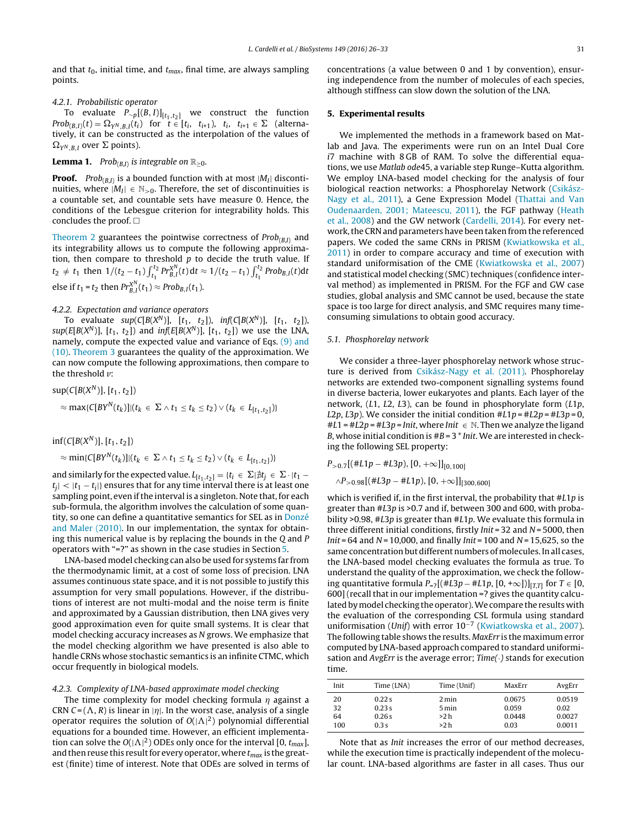<span id="page-5-0"></span>and that  $t_0$ , initial time, and  $t_{max}$ , final time, are always sampling points.

## 4.2.1. Probabilistic operator

To evaluate  $P_{\sim p}[(B,I)]_{[t_1,t_2]}$  we construct the function  $Prob_{(B,I)}(t) = \Omega_{Y^N,B,I}(t_i)$  for  $t \in [t_i, t_{i+1}), t_i, t_{i+1} \in \Sigma$  (alternatively, it can be constructed as the interpolation of the values of  $\Omega_{Y^N,B,I}$  over  $\Sigma$  points).

## **Lemma 1.** Prob<sub>(B,I)</sub> is integrable on  $\mathbb{R}_{>0}$ .

**Proof.** Pro $b_{(B,I)}$  is a bounded function with at most  $|M_I|$  discontinuities, where  $|M_I| \in \mathbb{N}_{>0}$ . Therefore, the set of discontinuities is a countable set, and countable sets have measure 0. Hence, the conditions of the Lebesgue criterion for integrability holds. This concludes the proof.  $\square$ 

[Theorem](#page-3-0) [2](#page-3-0) guarantees the pointwise correctness of  $Prob_{(B,I)}$  and its integrability allows us to compute the following approximation, then compare to threshold  $p$  to decide the truth value. If  $t_2 \neq t_1$  then 1/(t<sub>2</sub> − t<sub>1</sub>)  $\int_{t_1}^{t_2} Pr_{B,l}^{X^N}(t) dt \approx 1/(t_2 - t_1) \int_{t_1}^{t_2} Prob_{B,l}(t) dt$ else if  $t_1 = t_2$  then  $Pr_{B,I}^{X^N}(t_1) \approx Prob_{B,I}(t_1)$ .

## 4.2.2. Expectation and variance operators

To evaluate  $sup(C[B(X^N)], [t_1, t_2]), inf(C[B(X^N)], [t_1, t_2]),$ sup(E[B(X<sup>N</sup>)], [t<sub>1</sub>, t<sub>2</sub>]) and inf(E[B(X<sup>N</sup>)], [t<sub>1</sub>, t<sub>2</sub>]) we use the LNA, namely, compute the expected value and variance of Eqs. [\(9\)](#page-3-0) [and](#page-3-0) [\(10\).](#page-3-0) [Theorem](#page-4-0) [3](#page-4-0) guarantees the quality of the approximation. We can now compute the following approximations, then compare to the threshold *v*:

$$
sup(C[B(XN)], [t1, t2])
$$
  
\n
$$
\approx max(C[BYN(tk)]|(tk \in \Sigma \wedge t1 \le tk \le t2) \vee (tk \in L[t1, t2])
$$

 $inf(C[B(X^N)], [t_1, t_2])$ 

$$
\approx \min\{C[BY^N(t_k)]|(t_k \in \Sigma \wedge t_1 \leq t_k \leq t_2) \vee (t_k \in L_{[t_1,t_2]})\}
$$

and similarly for the expected value.  $L_{[t_1,t_2]} = \{t_i \in \Sigma | \nexists t_j \in \Sigma \cdot | t_1 - \Sigma| \}$  $|t_i| < |t_1 - t_i|$ } ensures that for any time interval there is at least one sampling point, even if the interval is a singleton. Note that, for each sub-formula, the algorithm involves the calculation of some quantity, so one can define a quantitative semantics for SEL as in [Donzé](#page-7-0) [and](#page-7-0) [Maler](#page-7-0) [\(2010\).](#page-7-0) In our implementation, the syntax for obtaining this numerical value is by replacing the bounds in the Q and P operators with "=?" as shown in the case studies in Section 5.

LNA-based model checking can also be used for systems far from the thermodynamic limit, at a cost of some loss of precision. LNA assumes continuous state space, and it is not possible to justify this assumption for very small populations. However, if the distributions of interest are not multi-modal and the noise term is finite and approximated by a Gaussian distribution, then LNA gives very good approximation even for quite small systems. It is clear that model checking accuracy increases as N grows. We emphasize that the model checking algorithm we have presented is also able to handle CRNs whose stochastic semantics is an infinite CTMC, which occur frequently in biological models.

## 4.2.3. Complexity of LNA-based approximate model checking

The time complexity for model checking formula  $\eta$  against a CRN  $C = (\Lambda, R)$  is linear in  $|\eta|$ . In the worst case, analysis of a single operator requires the solution of  $O(|\Lambda|^2)$  polynomial differential equations for a bounded time. However, an efficient implementation can solve the  $O(|\Lambda|^2)$  ODEs only once for the interval [0,  $t_{max}$ ], and then reuse this result for every operator, where  $t_{max}$  is the greatest (finite) time of interest. Note that ODEs are solved in terms of concentrations (a value between 0 and 1 by convention), ensuring independence from the number of molecules of each species, although stiffness can slow down the solution of the LNA.

## **5. Experimental results**

We implemented the methods in a framework based on Matlab and Java. The experiments were run on an Intel Dual Core i7 machine with 8 GB of RAM. To solve the differential equations, we use Matlab ode45, a variable step Runge–Kutta algorithm. We employ LNA-based model checking for the analysis of four biological reaction networks: a Phosphorelay Network [\(Csikász-](#page-7-0)Nagy et [al.,](#page-7-0) [2011\),](#page-7-0) a Gene Expression Model ([Thattai](#page-7-0) [and](#page-7-0) [Van](#page-7-0) [Oudenaarden,](#page-7-0) [2001;](#page-7-0) [Mateescu,](#page-7-0) [2011\),](#page-7-0) the FGF pathway ([Heath](#page-7-0) et [al.,](#page-7-0) [2008\)](#page-7-0) and the GW network [\(Cardelli,](#page-7-0) [2014\).](#page-7-0) For every network, the CRN and parameters have been taken from the referenced papers. We coded the same CRNs in PRISM [\(Kwiatkowska](#page-7-0) et [al.,](#page-7-0) [2011\)](#page-7-0) in order to compare accuracy and time of execution with standard uniformisation of the CME [\(Kwiatkowska](#page-7-0) et [al.,](#page-7-0) [2007\)](#page-7-0) and statistical model checking (SMC) techniques (confidence interval method) as implemented in PRISM. For the FGF and GW case studies, global analysis and SMC cannot be used, because the state space is too large for direct analysis, and SMC requires many timeconsuming simulations to obtain good accuracy.

#### 5.1. Phosphorelay network

We consider a three-layer phosphorelay network whose structure is derived from [Csikász-Nagy](#page-7-0) et [al.](#page-7-0) [\(2011\).](#page-7-0) Phosphorelay networks are extended two-component signalling systems found in diverse bacteria, lower eukaryotes and plants. Each layer of the network,  $(L1, L2, L3)$ , can be found in phosphorylate form  $(L1p, L2)$ L2p, L3p). We consider the initial condition  $#L1p = IL2p = IL3p = 0$ ,  $#L1 = #L2p = #L3p = Init$ , where Init  $\in \mathbb{N}$ . Then we analyze the ligand B, whose initial condition is  $\#B = 3$  \* Init. We are interested in checking the following SEL property:

$$
P_{>0.7}[(\#L1p - \#L3p), [0, +\infty]]_{[0,100]}
$$
  
  $\wedge P_{>0.98}[(\#L3p - \#L1p), [0, +\infty]]_{[300,600]}$ 

which is verified if, in the first interval, the probability that #L1p is greater than #L3p is >0.7 and if, between 300 and 600, with probability >0.98, #L3p is greater than #L1p. We evaluate this formula in three different initial conditions, firstly  $Init = 32$  and  $N = 5000$ , then *Init* = 64 and  $N = 10,000$ , and finally *Init* = 100 and  $N = 15,625$ , so the same concentration but different numbers of molecules. In all cases, the LNA-based model checking evaluates the formula as true. To understand the quality of the approximation, we check the following quantitative formula  $P_{=2}[(#L3p - #L1p, [0, +\infty])]_{[T,T]}$  for  $T \in [0,$ 600] (recall that in our implementation =? gives the quantity calculated by model checking the operator). We compare the results with the evaluation of the corresponding CSL formula using standard uniformisation (Unif) with error 10<sup>-7</sup> [\(Kwiatkowska](#page-7-0) et [al.,](#page-7-0) [2007\).](#page-7-0) The following table shows the results. MaxErr is the maximum error computed by LNA-based approach compared to standard uniformisation and AvgErr is the average error;  $Time(\cdot)$  stands for execution time.

| Init | Time (LNA) | Time (Unif) | MaxErr | AvgErr |
|------|------------|-------------|--------|--------|
| 20   | 0.22s      | 2 min       | 0.0675 | 0.0519 |
| 32   | 0.23s      | 5 min       | 0.059  | 0.02   |
| 64   | 0.26s      | >2 h        | 0.0448 | 0.0027 |
| 100  | 0.3s       | >2 h        | 0.03   | 0.0011 |

Note that as Init increases the error of our method decreases, while the execution time is practically independent of the molecular count. LNA-based algorithms are faster in all cases. Thus our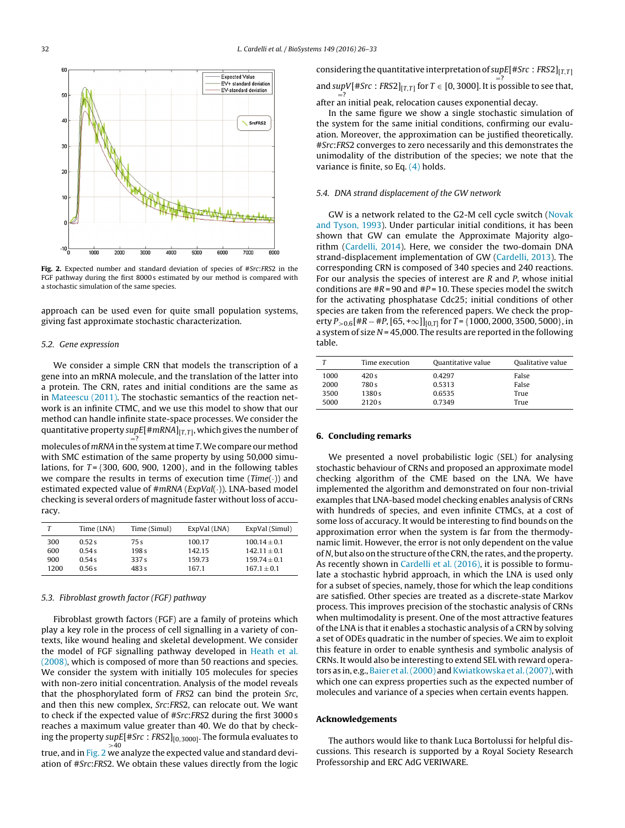<span id="page-6-0"></span>

**Fig. 2.** Expected number and standard deviation of species of #Src:FRS2 in the FGF pathway during the first 8000 s estimated by our method is compared with a stochastic simulation of the same species.

approach can be used even for quite small population systems, giving fast approximate stochastic characterization.

## 5.2. Gene expression

We consider a simple CRN that models the transcription of a gene into an mRNA molecule, and the translation of the latter into a protein. The CRN, rates and initial conditions are the same as in [Mateescu](#page-7-0) [\(2011\).](#page-7-0) The stochastic semantics of the reaction network is an infinite CTMC, and we use this model to show that our method can handle infinite state-space processes. We consider the quantitative property supE[#mRNA] $_{[T,T]}$ , which gives the number of

=? molecules of mRNA in the system at time T. We compare our method with SMC estimation of the same property by using 50,000 simulations, for  $T = \{300, 600, 900, 1200\}$ , and in the following tables we compare the results in terms of execution time  $(Time(\cdot))$  and estimated expected value of #mRNA (ExpVal(·)). LNA-based model checking is several orders of magnitude faster without loss of accuracy.

|      | Time (LNA) | Time (Simul)     | ExpVal (LNA) | ExpVal (Simul)   |
|------|------------|------------------|--------------|------------------|
| 300  | 0.52 s     | 75 s             | 100.17       | $100.14 \pm 0.1$ |
| 600  | 0.54 s     | 198 <sub>s</sub> | 142.15       | $142.11 + 0.1$   |
| 900  | 0.54 s     | 337 s            | 159.73       | $159.74 + 0.1$   |
| 1200 | 0.56s      | 483 s            | 167.1        | $167.1 + 0.1$    |

## 5.3. Fibroblast growth factor (FGF) pathway

Fibroblast growth factors (FGF) are a family of proteins which play a key role in the process of cell signalling in a variety of contexts, like wound healing and skeletal development. We consider the model of FGF signalling pathway developed in [Heath](#page-7-0) et [al.](#page-7-0) [\(2008\),](#page-7-0) which is composed of more than 50 reactions and species. We consider the system with initially 105 molecules for species with non-zero initial concentration. Analysis of the model reveals that the phosphorylated form of FRS2 can bind the protein Src, and then this new complex, Src:FRS2, can relocate out. We want to check if the expected value of #Src:FRS2 during the first 3000 s reaches a maximum value greater than 40. We do that by checking the property supE[#Src : FRS2]<sub>[0,3000]</sub>. The formula evaluates to  $>40$ true, and in Fig. 2 we analyze the expected value and standard devi-

ation of #Src:FRS2. We obtain these values directly from the logic

considering the quantitative interpretation of supE[#Src : FRS2] $_{[T,T]}$ and supV[#Src : FRS2]<sub>[T,T]</sub> for T  $\in$  [0, 3000]. It is possible to see that, after an initial peak, relocation causes exponential decay.

In the same figure we show a single stochastic simulation of the system for the same initial conditions, confirming our evaluation. Moreover, the approximation can be justified theoretically. #Src:FRS2 converges to zero necessarily and this demonstrates the unimodality of the distribution of the species; we note that the variance is finite, so Eq. [\(4\)](#page-3-0) holds.

## 5.4. DNA strand displacement of the GW network

GW is a network related to the G2-M cell cycle switch ([Novak](#page-7-0) [and](#page-7-0) [Tyson,](#page-7-0) [1993\).](#page-7-0) Under particular initial conditions, it has been shown that GW can emulate the Approximate Majority algorithm ([Cardelli,](#page-7-0) [2014\).](#page-7-0) Here, we consider the two-domain DNA strand-displacement implementation of GW [\(Cardelli,](#page-7-0) [2013\).](#page-7-0) The corresponding CRN is composed of 340 species and 240 reactions. For our analysis the species of interest are R and P, whose initial conditions are  $\#R = 90$  and  $\#P = 10$ . These species model the switch for the activating phosphatase Cdc25; initial conditions of other species are taken from the referenced papers. We check the property  $P_{>0.6}$ [#R – #P, [65, + $\infty$ ]]<sub>[0.T]</sub> for T = {1000, 2000, 3500, 5000}, in a system of size  $N = 45,000$ . The results are reported in the following table.

|      | Time execution | Quantitative value | Qualitative value |
|------|----------------|--------------------|-------------------|
| 1000 | 420s           | 0.4297             | False             |
| 2000 | 780 s          | 0.5313             | False             |
| 3500 | 1380 s         | 0.6535             | True              |
| 5000 | 2120 s         | 0.7349             | True              |

## **6. Concluding remarks**

We presented a novel probabilistic logic (SEL) for analysing stochastic behaviour of CRNs and proposed an approximate model checking algorithm of the CME based on the LNA. We have implemented the algorithm and demonstrated on four non-trivial examples that LNA-based model checking enables analysis of CRNs with hundreds of species, and even infinite CTMCs, at a cost of some loss of accuracy. It would be interesting to find bounds on the approximation error when the system is far from the thermodynamic limit. However, the error is not only dependent on the value of N, but also on the structure of the CRN, the rates, and the property. As recently shown in [Cardelli](#page-7-0) et [al.](#page-7-0) [\(2016\),](#page-7-0) it is possible to formulate a stochastic hybrid approach, in which the LNA is used only for a subset of species, namely, those for which the leap conditions are satisfied. Other species are treated as a discrete-state Markov process. This improves precision of the stochastic analysis of CRNs when multimodality is present. One of the most attractive features of the LNA is that it enables a stochastic analysis of a CRN by solving a set of ODEs quadratic in the number of species. We aim to exploit this feature in order to enable synthesis and symbolic analysis of CRNs. It would also be interesting to extend SEL with reward opera-tors as in, e.g., [Baier](#page-7-0) et al. (2000) and [Kwiatkowska](#page-7-0) et al. (2007), with which one can express properties such as the expected number of molecules and variance of a species when certain events happen.

#### **Acknowledgements**

The authors would like to thank Luca Bortolussi for helpful discussions. This research is supported by a Royal Society Research Professorship and ERC AdG VERIWARE.